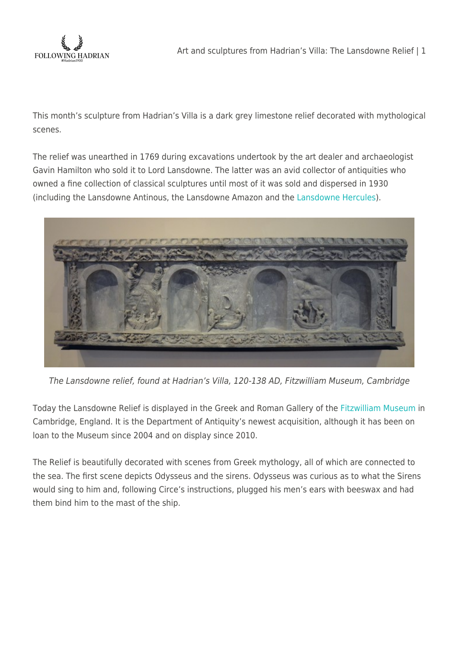

This month's sculpture from Hadrian's Villa is a dark grey limestone relief decorated with mythological scenes.

The relief was unearthed in 1769 during excavations undertook by the art dealer and archaeologist Gavin Hamilton who sold it to Lord Lansdowne. The latter was an avid collector of antiquities who owned a fine collection of classical sculptures until most of it was sold and dispersed in 1930 (including the Lansdowne Antinous, the Lansdowne Amazon and the [Lansdowne Hercules\)](http://en.wikipedia.org/wiki/Lansdowne_Hercules).



The Lansdowne relief, found at Hadrian's Villa, 120-138 AD, Fitzwilliam Museum, Cambridge

Today the Lansdowne Relief is displayed in the Greek and Roman Gallery of the [Fitzwilliam Museum](http://www.fitzmuseum.cam.ac.uk/dept/ant/greeceandrome/) in Cambridge, England. It is the Department of Antiquity's newest acquisition, although it has been on loan to the Museum since 2004 and on display since 2010.

The Relief is beautifully decorated with scenes from Greek mythology, all of which are connected to the sea. The first scene depicts Odysseus and the sirens. Odysseus was curious as to what the Sirens would sing to him and, following Circe's instructions, plugged his men's ears with beeswax and had them bind him to the mast of the ship.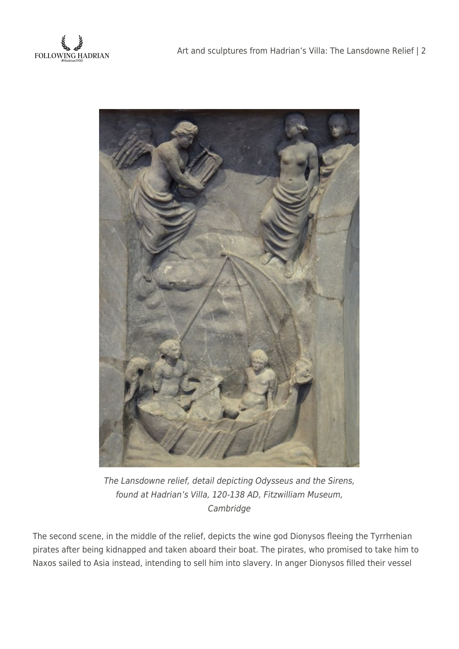



The Lansdowne relief, detail depicting Odysseus and the Sirens, found at Hadrian's Villa, 120-138 AD, Fitzwilliam Museum, Cambridge

The second scene, in the middle of the relief, depicts the wine god Dionysos fleeing the Tyrrhenian pirates after being kidnapped and taken aboard their boat. The pirates, who promised to take him to Naxos sailed to Asia instead, intending to sell him into slavery. In anger Dionysos filled their vessel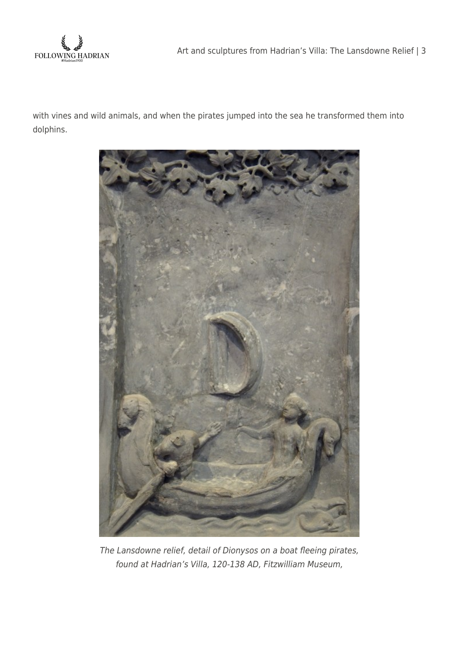

with vines and wild animals, and when the pirates jumped into the sea he transformed them into dolphins.



The Lansdowne relief, detail of Dionysos on a boat fleeing pirates, found at Hadrian's Villa, 120-138 AD, Fitzwilliam Museum,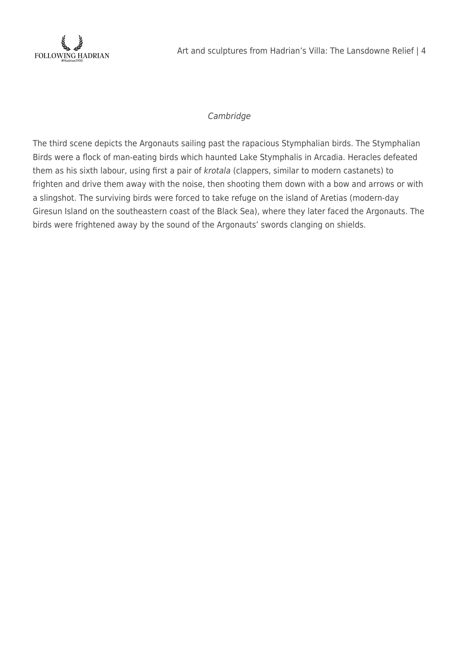

## Cambridge

The third scene depicts the Argonauts sailing past the rapacious Stymphalian birds. The Stymphalian Birds were a flock of man-eating birds which haunted Lake Stymphalis in Arcadia. Heracles defeated them as his sixth labour, using first a pair of krotala (clappers, similar to modern castanets) to frighten and drive them away with the noise, then shooting them down with a bow and arrows or with a slingshot. The surviving birds were forced to take refuge on the island of Aretias (modern-day Giresun Island on the southeastern coast of the Black Sea), where they later faced the Argonauts. The birds were frightened away by the sound of the Argonauts' swords clanging on shields.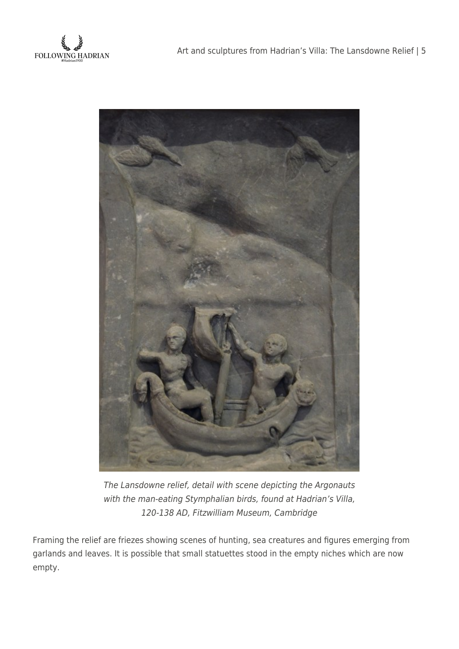



The Lansdowne relief, detail with scene depicting the Argonauts with the man-eating Stymphalian birds, found at Hadrian's Villa, 120-138 AD, Fitzwilliam Museum, Cambridge

Framing the relief are friezes showing scenes of hunting, sea creatures and figures emerging from garlands and leaves. It is possible that small statuettes stood in the empty niches which are now empty.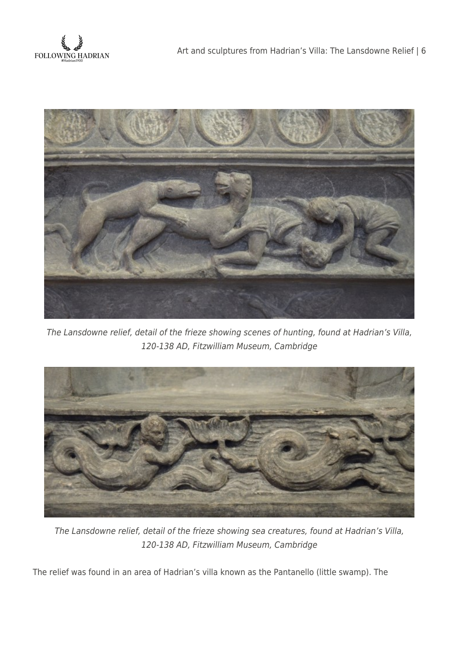



The Lansdowne relief, detail of the frieze showing scenes of hunting, found at Hadrian's Villa, 120-138 AD, Fitzwilliam Museum, Cambridge



The Lansdowne relief, detail of the frieze showing sea creatures, found at Hadrian's Villa, 120-138 AD, Fitzwilliam Museum, Cambridge

The relief was found in an area of Hadrian's villa known as the Pantanello (little swamp). The